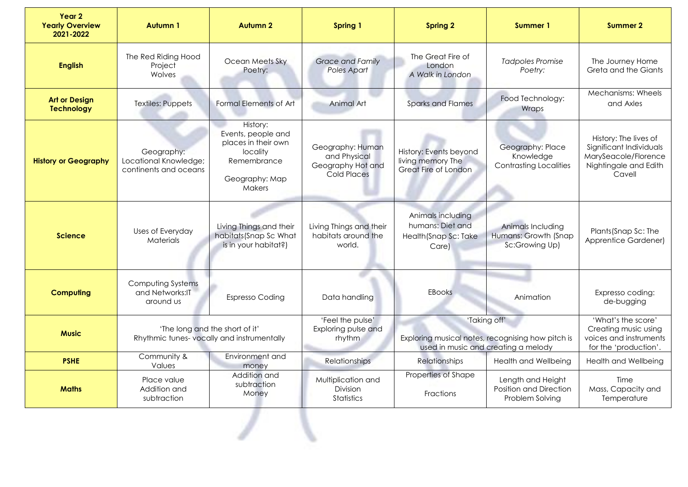| Year 2<br><b>Yearly Overview</b><br>2021-2022 | <b>Autumn1</b>                                                              | <b>Autumn 2</b>                                                                                                     | <b>Spring 1</b>                                                      | <b>Spring 2</b>                                                                                          | Summer 1                                                       | <b>Summer 2</b>                                                                                             |
|-----------------------------------------------|-----------------------------------------------------------------------------|---------------------------------------------------------------------------------------------------------------------|----------------------------------------------------------------------|----------------------------------------------------------------------------------------------------------|----------------------------------------------------------------|-------------------------------------------------------------------------------------------------------------|
| <b>English</b>                                | The Red Riding Hood<br>Project<br>Wolves                                    | Ocean Meets Sky<br>Poetry:                                                                                          | <b>Grace and Family</b><br>Poles Apart                               | The Great Fire of<br>London<br>A Walk in London                                                          | <b>Tadpoles Promise</b><br>Poetry:                             | The Journey Home<br>Greta and the Giants                                                                    |
| <b>Art or Design</b><br><b>Technology</b>     | <b>Textiles: Puppets</b>                                                    | Formal Elements of Art                                                                                              | Animal Art                                                           | <b>Sparks and Flames</b>                                                                                 | Food Technology:<br>Wraps                                      | Mechanisms: Wheels<br>and Axles                                                                             |
| <b>History or Geography</b>                   | Geography:<br>Locational Knowledge;<br>continents and oceans                | History:<br>Events, people and<br>places in their own<br>locality<br>Remembrance<br>Geography: Map<br><b>Makers</b> | Geography: Human<br>and Physical<br>Geography Hot and<br>Cold Places | History: Events beyond<br>living memory The<br>Great Fire of London                                      | Geography: Place<br>Knowledge<br><b>Contrasting Localities</b> | History: The lives of<br>Significant Individuals<br>MarySeacole/Florence<br>Nightingale and Edith<br>Cavell |
| <b>Science</b>                                | Uses of Everyday<br>Materials                                               | Living Things and their<br>habitats(Snap Sc What<br>is in your habitat?)                                            | Living Things and their<br>habitats around the<br>world.             | Animals including<br>humans: Diet and<br>Health (Snap Sc: Take<br>Care)                                  | Animals Including<br>Humans: Growth (Snap<br>Sc:Growing Up)    | Plants (Snap Sc: The<br>Apprentice Gardener)                                                                |
| <b>Computing</b>                              | Computing Systems<br>and Networks: IT<br>around us                          | <b>Espresso Coding</b>                                                                                              | Data handling                                                        | EBooks                                                                                                   | Animation                                                      | Expresso coding:<br>de-bugging                                                                              |
| <b>Music</b>                                  | 'The long and the short of it'<br>Rhythmic tunes-vocally and instrumentally |                                                                                                                     | 'Feel the pulse'<br>Exploring pulse and<br>rhythm                    | 'Taking off'<br>Exploring musical notes, recognising how pitch is<br>used in music and creating a melody |                                                                | 'What's the score'<br>Creating music using<br>voices and instruments<br>for the 'production'.               |
| <b>PSHE</b>                                   | Community &<br>Values                                                       | Environment and<br>money                                                                                            | Relationships                                                        | <b>Relationships</b>                                                                                     | <b>Health and Wellbeing</b>                                    | <b>Health and Wellbeing</b>                                                                                 |
| <b>Maths</b>                                  | Place value<br>Addition and<br>subtraction                                  | Addition and<br>subtraction<br>Money                                                                                | Multiplication and<br>Division<br><b>Statistics</b>                  | Properties of Shape<br>Fractions                                                                         | Length and Height<br>Position and Direction<br>Problem Solving | Time<br>Mass, Capacity and<br>Temperature                                                                   |